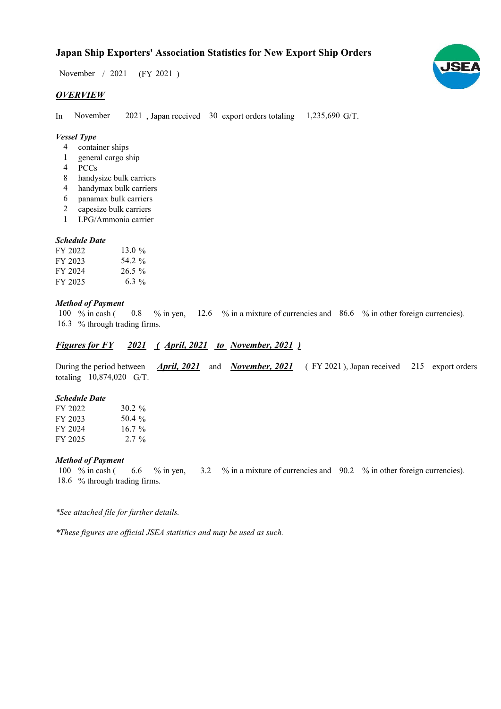$/ 2021$  (FY 2021) November / 2021

# *OVERVIEW*

In November 2021, Japan received 30 export orders totaling 1,235,690 G/T. November

## *Vessel Type*

- container ships 4
- general cargo ship 1
- PCCs 4
- handysize bulk carriers 8
- handymax bulk carriers 4
- panamax bulk carriers 6
- capesize bulk carriers 2
- LPG/Ammonia carrier 1

### *Schedule Date*

| FY 2022 | 13.0 $\%$ |
|---------|-----------|
| FY 2023 | 54.2 %    |
| FY 2024 | $26.5\%$  |
| FY 2025 | 6.3 $%$   |

## *Method of Payment*

% in cash ( $\ 0.8\$  % in yen,  $12.6\%$  in a mixture of currencies and  $86.6\%$  in other foreign currencies). 16.3 % through trading firms. 100 % in cash ( 0.8

# *Figures for FY* 2021 (*April, 2021 to November, 2021*)

During the period between *April, 2021* and *November, 2021* (FY 2021), Japan received 215 export orders totaling  $10,874,020$  G/T.

#### *Schedule Date*

| FY 2022 | $30.2 \%$ |
|---------|-----------|
| FY 2023 | 50.4 $\%$ |
| FY 2024 | $16.7\%$  |
| FY 2025 | $2.7\%$   |

#### *Method of Payment*

% in cash ( $\qquad 6.6 \quad$  % in yen,  $\qquad 3.2 \quad$  % in a mixture of currencies and  $\qquad$  90.2 % in other foreign currencies). % through trading firms. 18.6100 % in cash (

*\*See attached file for further details.*

*\*These figures are official JSEA statistics and may be used as such.*

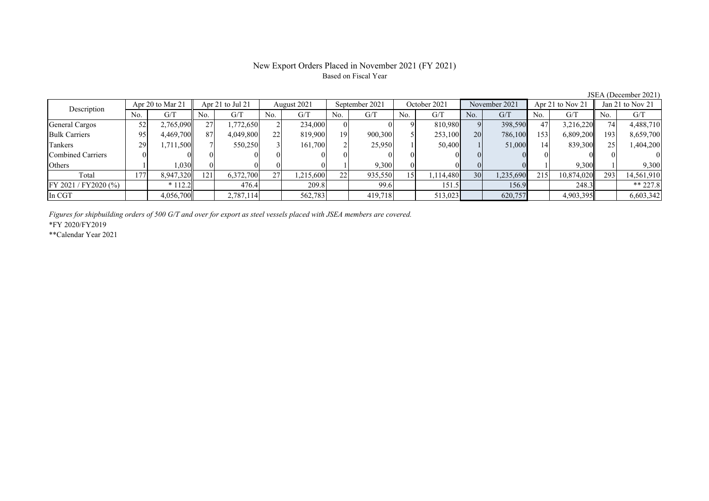## New Export Orders Placed in November 2021 (FY 2021) Based on Fiscal Year

No. G/T No. G/T No. G/T No. G/T No. G/T No. G/T No. G/T No. G/T $G/T$ General Cargos | 52 | 2,765,090 || 27 | 1,772,650 | 2 | 234,000 | 0 | 9 | 810,980 | 9 | 398,590 | 47 | 3,216,220 || 74 | 4,488,710 Bulk Carriers 95 4,469,700 87 4,049,800 22 819,900 19 900,300 5 253,100 20 786,100 153 6,809,200 193 8,659,700 Tankers | 29 | 1,711,500 || 7 | 550,250 | 3 | 161,700 | 2 | 25,950 | 1 | 50,400 | 1 | 51,000 | 14 | 839,300 || 25 | 1,404,200 Combined Carriers 0 0 0 0 0 0 0 0 0 0 0 0 0 0 0 0Others 1 1 1,030 0 0 0 0 1 9,300 0 0 0 0 1 9,300 Total | 177| 8,947,320|| 121| 6,372,700| 27| 1,215,600| 22| 935,550| 15| 1,114,480| 30| 1,235,690| 215| 10,874,020|| 293| 14,561,910 FY 2021 / FY2020 (%) \* 112.2 476.4 209.8 99.6 151.5 156.9 248.3 \*\* 227.8 In CGT 4,056,700 2,787,114 562,783 419,718 513,023 620,757 4,903,395 6,603,342 Apr 21 to Jul 21 August 2021 September 2021 Description Apr 20 to Mar 21 | Apr 21 to Jul 21 | August 2021 | September 2021 | October 2021 | November 2021 | Apr 21 to Nov 21 | Jan 21 to Nov 21

*Figures for shipbuilding orders of 500 G/T and over for export as steel vessels placed with JSEA members are covered.*

\*FY 2020/FY2019

\*\*Calendar Year 2021

JSEA (December 2021)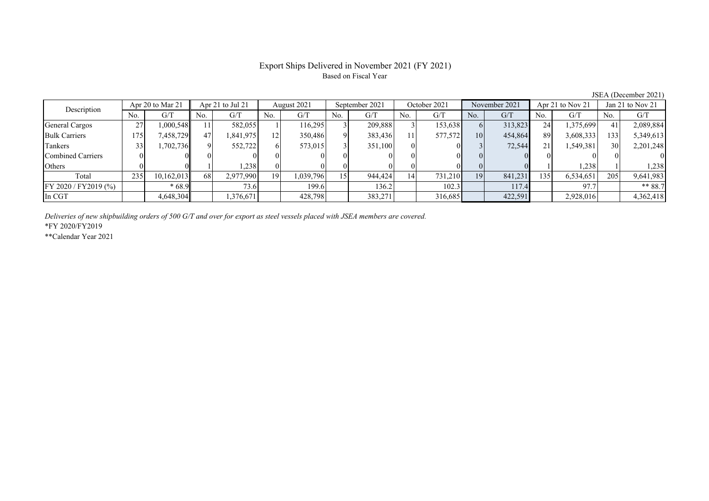# Export Ships Delivered in November 2021 (FY 2021) Based on Fiscal Year

JSEA (December 2021)

| Apr 20 to Mar 21<br>Description |     |            | Apr 21 to Jul 21 |           |     | August 2021 |                | September 2021 |     | October 2021 |     | November 2021 |     | Apr 21 to Nov 21 |                 | Jan 21 to Nov 21 |  |
|---------------------------------|-----|------------|------------------|-----------|-----|-------------|----------------|----------------|-----|--------------|-----|---------------|-----|------------------|-----------------|------------------|--|
|                                 | No. | G/T        | No.              | G/T       | No. | G/T         | N <sub>0</sub> | G/T            | No. | G/T          | No. | G/T           | No. | G/T              | No.             | G/T              |  |
| General Cargos                  | 27  | 1.000.548  |                  | 582.055   |     | 116.295     |                | 209,888        |     | 153,638      |     | 313,823       | 24  | 1,375,699        | 41              | 2,089,884        |  |
| <b>Bulk Carriers</b>            | 175 | 7,458,729  | 47               | 1,841,975 | 12  | 350,486     |                | 383,436        | 11  | 577,572      | 10  | 454,864       | 89  | 3,608,333        | 133             | 5,349,613        |  |
| Tankers                         |     | .702,736   |                  | 552,722   |     | 573,015     |                | 351.100        |     |              |     | 72,544        | 21  | 1,549,381        | 30 <sup>l</sup> | 2,201,248        |  |
| Combined Carriers               |     |            |                  |           |     |             |                |                |     |              |     |               |     |                  |                 | $\Omega$         |  |
| Others                          |     |            |                  | 1.238     |     |             |                |                |     |              |     |               |     | .238             |                 | 1,238            |  |
| Total                           | 235 | 10.162.013 | 68               | 2,977,990 | 19  | 1,039,796   |                | 944,424        | 14  | 731,210      | 19  | 841,231       | 135 | 6,534,651        | 205             | 9,641,983        |  |
| FY 2020 / FY 2019 (%)           |     | $*68.9$    |                  | 73.6      |     | 199.6       |                | 136.2          |     | 102.3        |     | 117.4         |     | 97.7             |                 | $** 88.7$        |  |
| In CGT                          |     | 4,648,304  |                  | 1,376,671 |     | 428,798     |                | 383,271        |     | 316,685      |     | 422,591       |     | 2,928,016        |                 | 4,362,418        |  |

*Deliveries of new shipbuilding orders of 500 G/T and over for export as steel vessels placed with JSEA members are covered.*

\*FY 2020/FY2019

\*\*Calendar Year 2021